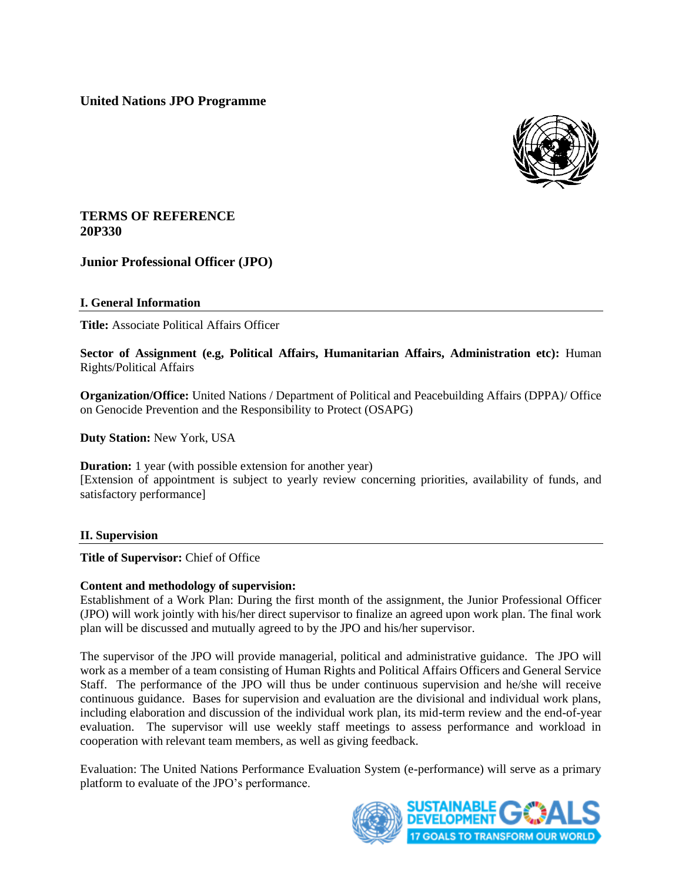**United Nations JPO Programme**



## **TERMS OF REFERENCE 20P330**

# **Junior Professional Officer (JPO)**

### **I. General Information**

**Title:** Associate Political Affairs Officer

**Sector of Assignment (e.g, Political Affairs, Humanitarian Affairs, Administration etc):** Human Rights/Political Affairs

**Organization/Office:** United Nations / Department of Political and Peacebuilding Affairs (DPPA)/ Office on Genocide Prevention and the Responsibility to Protect (OSAPG)

**Duty Station:** New York, USA

**Duration:** 1 year (with possible extension for another year) [Extension of appointment is subject to yearly review concerning priorities, availability of funds, and satisfactory performance]

#### **II. Supervision**

**Title of Supervisor:** Chief of Office

#### **Content and methodology of supervision:**

Establishment of a Work Plan: During the first month of the assignment, the Junior Professional Officer (JPO) will work jointly with his/her direct supervisor to finalize an agreed upon work plan. The final work plan will be discussed and mutually agreed to by the JPO and his/her supervisor.

The supervisor of the JPO will provide managerial, political and administrative guidance. The JPO will work as a member of a team consisting of Human Rights and Political Affairs Officers and General Service Staff. The performance of the JPO will thus be under continuous supervision and he/she will receive continuous guidance. Bases for supervision and evaluation are the divisional and individual work plans, including elaboration and discussion of the individual work plan, its mid-term review and the end-of-year evaluation. The supervisor will use weekly staff meetings to assess performance and workload in cooperation with relevant team members, as well as giving feedback.

Evaluation: The United Nations Performance Evaluation System (e-performance) will serve as a primary platform to evaluate of the JPO's performance.

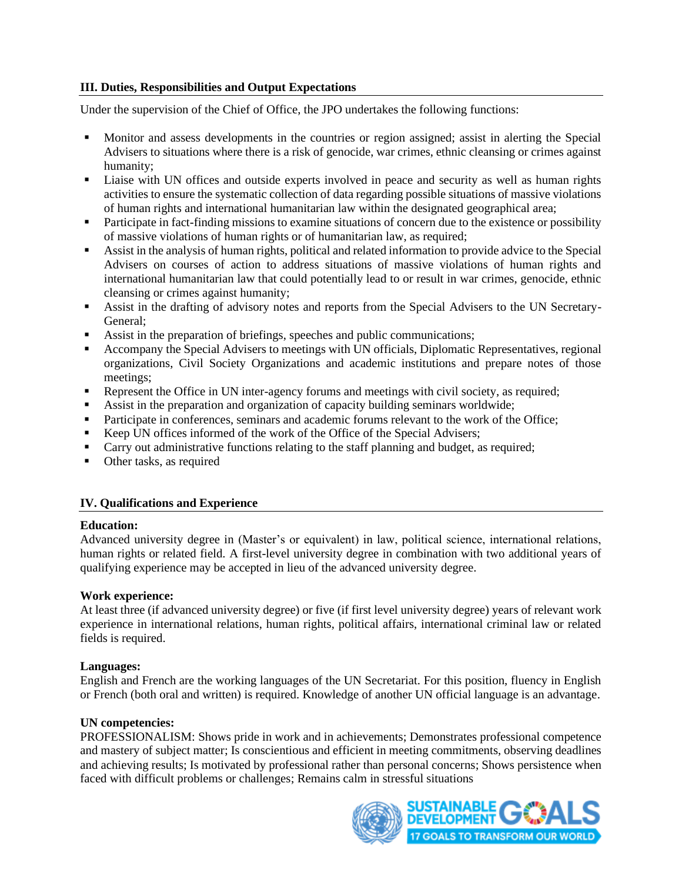## **III. Duties, Responsibilities and Output Expectations**

Under the supervision of the Chief of Office, the JPO undertakes the following functions:

- Monitor and assess developments in the countries or region assigned; assist in alerting the Special Advisers to situations where there is a risk of genocide, war crimes, ethnic cleansing or crimes against humanity;
- Liaise with UN offices and outside experts involved in peace and security as well as human rights activities to ensure the systematic collection of data regarding possible situations of massive violations of human rights and international humanitarian law within the designated geographical area;
- Participate in fact-finding missions to examine situations of concern due to the existence or possibility of massive violations of human rights or of humanitarian law, as required;
- Assist in the analysis of human rights, political and related information to provide advice to the Special Advisers on courses of action to address situations of massive violations of human rights and international humanitarian law that could potentially lead to or result in war crimes, genocide, ethnic cleansing or crimes against humanity;
- Assist in the drafting of advisory notes and reports from the Special Advisers to the UN Secretary-General;
- Assist in the preparation of briefings, speeches and public communications;
- Accompany the Special Advisers to meetings with UN officials, Diplomatic Representatives, regional organizations, Civil Society Organizations and academic institutions and prepare notes of those meetings;
- **•** Represent the Office in UN inter-agency forums and meetings with civil society, as required;
- Assist in the preparation and organization of capacity building seminars worldwide;
- **•** Participate in conferences, seminars and academic forums relevant to the work of the Office;
- Keep UN offices informed of the work of the Office of the Special Advisers;
- Carry out administrative functions relating to the staff planning and budget, as required;
- Other tasks, as required

#### **IV. Qualifications and Experience**

#### **Education:**

Advanced university degree in (Master's or equivalent) in law, political science, international relations, human rights or related field. A first-level university degree in combination with two additional years of qualifying experience may be accepted in lieu of the advanced university degree.

#### **Work experience:**

At least three (if advanced university degree) or five (if first level university degree) years of relevant work experience in international relations, human rights, political affairs, international criminal law or related fields is required.

#### **Languages:**

English and French are the working languages of the UN Secretariat. For this position, fluency in English or French (both oral and written) is required. Knowledge of another UN official language is an advantage.

#### **UN competencies:**

PROFESSIONALISM: Shows pride in work and in achievements; Demonstrates professional competence and mastery of subject matter; Is conscientious and efficient in meeting commitments, observing deadlines and achieving results; Is motivated by professional rather than personal concerns; Shows persistence when faced with difficult problems or challenges; Remains calm in stressful situations

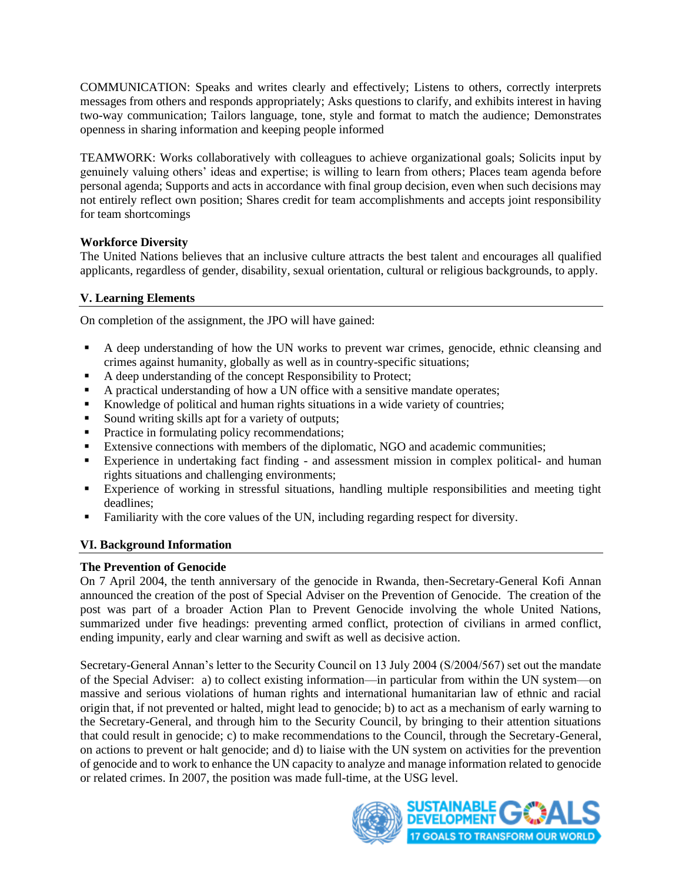COMMUNICATION: Speaks and writes clearly and effectively; Listens to others, correctly interprets messages from others and responds appropriately; Asks questions to clarify, and exhibits interest in having two-way communication; Tailors language, tone, style and format to match the audience; Demonstrates openness in sharing information and keeping people informed

TEAMWORK: Works collaboratively with colleagues to achieve organizational goals; Solicits input by genuinely valuing others' ideas and expertise; is willing to learn from others; Places team agenda before personal agenda; Supports and acts in accordance with final group decision, even when such decisions may not entirely reflect own position; Shares credit for team accomplishments and accepts joint responsibility for team shortcomings

### **Workforce Diversity**

The United Nations believes that an inclusive culture attracts the best talent and encourages all qualified applicants, regardless of gender, disability, sexual orientation, cultural or religious backgrounds, to apply.

# **V. Learning Elements**

On completion of the assignment, the JPO will have gained:

- A deep understanding of how the UN works to prevent war crimes, genocide, ethnic cleansing and crimes against humanity, globally as well as in country-specific situations;
- A deep understanding of the concept Responsibility to Protect;
- A practical understanding of how a UN office with a sensitive mandate operates;
- Knowledge of political and human rights situations in a wide variety of countries;
- Sound writing skills apt for a variety of outputs;
- Practice in formulating policy recommendations;
- **Extensive connections with members of the diplomatic, NGO and academic communities;**
- Experience in undertaking fact finding and assessment mission in complex political- and human rights situations and challenging environments;
- Experience of working in stressful situations, handling multiple responsibilities and meeting tight deadlines;
- Familiarity with the core values of the UN, including regarding respect for diversity.

# **VI. Background Information**

#### **The Prevention of Genocide**

On 7 April 2004, the tenth anniversary of the genocide in Rwanda, then-Secretary-General Kofi Annan announced the creation of the post of Special Adviser on the Prevention of Genocide. The creation of the post was part of a broader Action Plan to Prevent Genocide involving the whole United Nations, summarized under five headings: preventing armed conflict, protection of civilians in armed conflict, ending impunity, early and clear warning and swift as well as decisive action.

Secretary-General Annan's letter to the Security Council on 13 July 2004 (S/2004/567) set out the mandate of the Special Adviser: a) to collect existing information—in particular from within the UN system—on massive and serious violations of human rights and international humanitarian law of ethnic and racial origin that, if not prevented or halted, might lead to genocide; b) to act as a mechanism of early warning to the Secretary-General, and through him to the Security Council, by bringing to their attention situations that could result in genocide; c) to make recommendations to the Council, through the Secretary-General, on actions to prevent or halt genocide; and d) to liaise with the UN system on activities for the prevention of genocide and to work to enhance the UN capacity to analyze and manage information related to genocide or related crimes. In 2007, the position was made full-time, at the USG level.